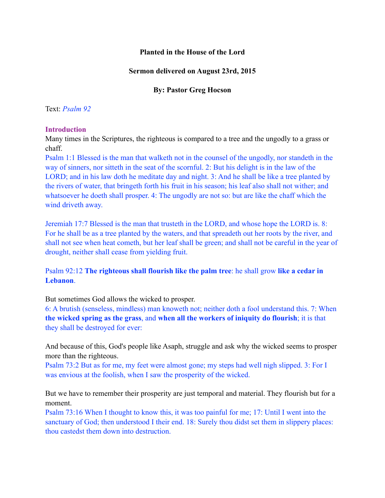# **Planted in the House of the Lord**

### **Sermon delivered on August 23rd, 2015**

### **By: Pastor Greg Hocson**

#### Text: *Psalm 92*

#### **Introduction**

Many times in the Scriptures, the righteous is compared to a tree and the ungodly to a grass or chaff.

Psalm 1:1 Blessed is the man that walketh not in the counsel of the ungodly, nor standeth in the way of sinners, nor sitteth in the seat of the scornful. 2: But his delight is in the law of the LORD; and in his law doth he meditate day and night. 3: And he shall be like a tree planted by the rivers of water, that bringeth forth his fruit in his season; his leaf also shall not wither; and whatsoever he doeth shall prosper. 4: The ungodly are not so: but are like the chaff which the wind driveth away.

Jeremiah 17:7 Blessed is the man that trusteth in the LORD, and whose hope the LORD is. 8: For he shall be as a tree planted by the waters, and that spreadeth out her roots by the river, and shall not see when heat cometh, but her leaf shall be green; and shall not be careful in the year of drought, neither shall cease from yielding fruit.

Psalm 92:12 **The righteous shall flourish like the palm tree**: he shall grow **like a cedar in Lebanon**.

But sometimes God allows the wicked to prosper.

6: A brutish (senseless, mindless) man knoweth not; neither doth a fool understand this. 7: When **the wicked spring as the grass**, and **when all the workers of iniquity do flourish**; it is that they shall be destroyed for ever:

And because of this, God's people like Asaph, struggle and ask why the wicked seems to prosper more than the righteous.

Psalm 73:2 But as for me, my feet were almost gone; my steps had well nigh slipped. 3: For I was envious at the foolish, when I saw the prosperity of the wicked.

But we have to remember their prosperity are just temporal and material. They flourish but for a moment.

Psalm 73:16 When I thought to know this, it was too painful for me; 17: Until I went into the sanctuary of God; then understood I their end. 18: Surely thou didst set them in slippery places: thou castedst them down into destruction.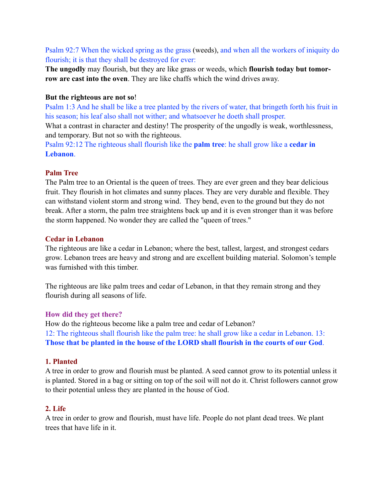Psalm 92:7 When the wicked spring as the grass (weeds), and when all the workers of iniquity do flourish; it is that they shall be destroyed for ever:

**The ungodly** may flourish, but they are like grass or weeds, which **flourish today but tomorrow are cast into the oven**. They are like chaffs which the wind drives away.

### **But the righteous are not so**!

Psalm 1:3 And he shall be like a tree planted by the rivers of water, that bringeth forth his fruit in his season; his leaf also shall not wither; and whatsoever he doeth shall prosper.

What a contrast in character and destiny! The prosperity of the ungodly is weak, worthlessness, and temporary. But not so with the righteous.

Psalm 92:12 The righteous shall flourish like the **palm tree**: he shall grow like a **cedar in Lebanon**.

### **Palm Tree**

The Palm tree to an Oriental is the queen of trees. They are ever green and they bear delicious fruit. They flourish in hot climates and sunny places. They are very durable and flexible. They can withstand violent storm and strong wind. They bend, even to the ground but they do not break. After a storm, the palm tree straightens back up and it is even stronger than it was before the storm happened. No wonder they are called the "queen of trees."

### **Cedar in Lebanon**

The righteous are like a cedar in Lebanon; where the best, tallest, largest, and strongest cedars grow. Lebanon trees are heavy and strong and are excellent building material. Solomon's temple was furnished with this timber.

The righteous are like palm trees and cedar of Lebanon, in that they remain strong and they flourish during all seasons of life.

# **How did they get there?**

How do the righteous become like a palm tree and cedar of Lebanon? 12: The righteous shall flourish like the palm tree: he shall grow like a cedar in Lebanon. 13: **Those that be planted in the house of the LORD shall flourish in the courts of our God**.

#### **1. Planted**

A tree in order to grow and flourish must be planted. A seed cannot grow to its potential unless it is planted. Stored in a bag or sitting on top of the soil will not do it. Christ followers cannot grow to their potential unless they are planted in the house of God.

# **2. Life**

A tree in order to grow and flourish, must have life. People do not plant dead trees. We plant trees that have life in it.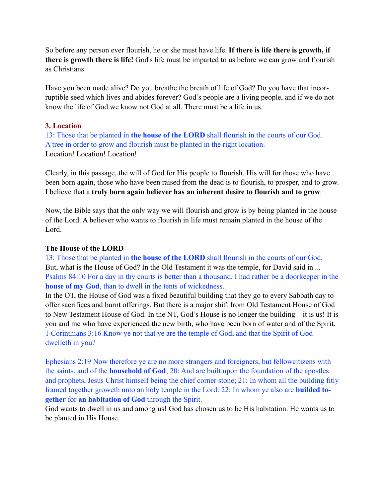So before any person ever flourish, he or she must have life. **If there is life there is growth, if there is growth there is life!** God's life must be imparted to us before we can grow and flourish as Christians.

Have you been made alive? Do you breathe the breath of life of God? Do you have that incorruptible seed which lives and abides forever? God's people are a living people, and if we do not know the life of God we know not God at all. There must be a life in us.

# **3. Location**

13: Those that be planted in **the house of the LORD** shall flourish in the courts of our God. A tree in order to grow and flourish must be planted in the right location. Location! Location! Location!

Clearly, in this passage, the will of God for His people to flourish. His will for those who have been born again, those who have been raised from the dead is to flourish, to prosper, and to grow. I believe that a **truly born again believer has an inherent desire to flourish and to grow**.

Now, the Bible says that the only way we will flourish and grow is by being planted in the house of the Lord. A believer who wants to flourish in life must remain planted in the house of the Lord.

### **The House of the LORD**

13: Those that be planted in **the house of the LORD** shall flourish in the courts of our God. But, what is the House of God? In the Old Testament it was the temple, for David said in ... Psalms 84:10 For a day in thy courts is better than a thousand. I had rather be a doorkeeper in the **house of my God**, than to dwell in the tents of wickedness.

In the OT, the House of God was a fixed beautiful building that they go to every Sabbath day to offer sacrifices and burnt offerings. But there is a major shift from Old Testament House of God to New Testament House of God. In the NT, God's House is no longer the building – it is us! It is you and me who have experienced the new birth, who have been born of water and of the Spirit. 1 Corinthians 3:16 Know ye not that ye are the temple of God, and that the Spirit of God dwelleth in you?

Ephesians 2:19 Now therefore ye are no more strangers and foreigners, but fellowcitizens with the saints, and of the **household of God**; 20: And are built upon the foundation of the apostles and prophets, Jesus Christ himself being the chief corner stone; 21: In whom all the building fitly framed together groweth unto an holy temple in the Lord: 22: In whom ye also are **builded together** for **an habitation of God** through the Spirit.

God wants to dwell in us and among us! God has chosen us to be His habitation. He wants us to be planted in His House.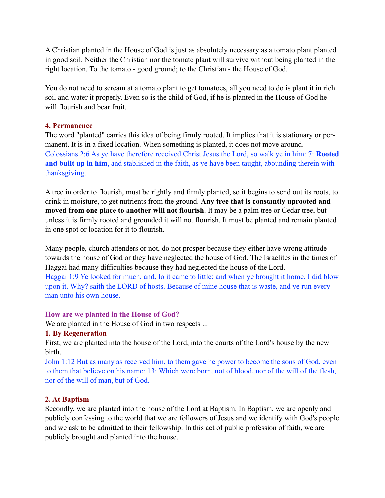A Christian planted in the House of God is just as absolutely necessary as a tomato plant planted in good soil. Neither the Christian nor the tomato plant will survive without being planted in the right location. To the tomato - good ground; to the Christian - the House of God.

You do not need to scream at a tomato plant to get tomatoes, all you need to do is plant it in rich soil and water it properly. Even so is the child of God, if he is planted in the House of God he will flourish and bear fruit.

### **4. Permanence**

The word "planted" carries this idea of being firmly rooted. It implies that it is stationary or permanent. It is in a fixed location. When something is planted, it does not move around. Colossians 2:6 As ye have therefore received Christ Jesus the Lord, so walk ye in him: 7: **Rooted and built up in him**, and stablished in the faith, as ye have been taught, abounding therein with thanksgiving.

A tree in order to flourish, must be rightly and firmly planted, so it begins to send out its roots, to drink in moisture, to get nutrients from the ground. **Any tree that is constantly uprooted and moved from one place to another will not flourish**. It may be a palm tree or Cedar tree, but unless it is firmly rooted and grounded it will not flourish. It must be planted and remain planted in one spot or location for it to flourish.

Many people, church attenders or not, do not prosper because they either have wrong attitude towards the house of God or they have neglected the house of God. The Israelites in the times of Haggai had many difficulties because they had neglected the house of the Lord. Haggai 1:9 Ye looked for much, and, lo it came to little; and when ye brought it home, I did blow upon it. Why? saith the LORD of hosts. Because of mine house that is waste, and ye run every man unto his own house.

# **How are we planted in the House of God?**

We are planted in the House of God in two respects ...

# **1. By Regeneration**

First, we are planted into the house of the Lord, into the courts of the Lord's house by the new birth.

John 1:12 But as many as received him, to them gave he power to become the sons of God, even to them that believe on his name: 13: Which were born, not of blood, nor of the will of the flesh, nor of the will of man, but of God.

# **2. At Baptism**

Secondly, we are planted into the house of the Lord at Baptism. In Baptism, we are openly and publicly confessing to the world that we are followers of Jesus and we identify with God's people and we ask to be admitted to their fellowship. In this act of public profession of faith, we are publicly brought and planted into the house.